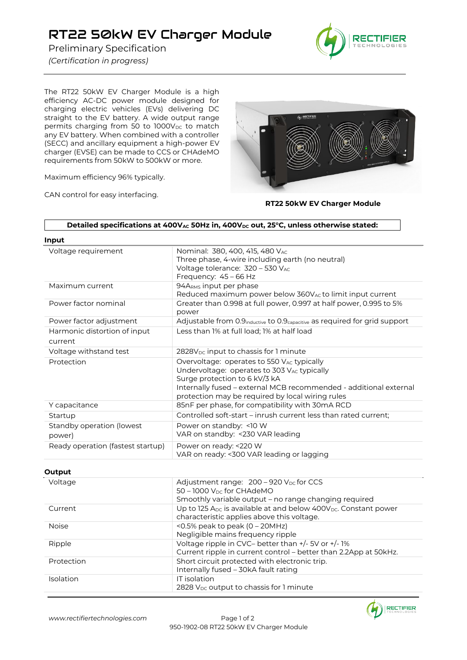## RT22 50kW EV Charger Module

Preliminary Specification

*(Certification in progress)*



The RT22 50kW EV Charger Module is a high efficiency AC-DC power module designed for charging electric vehicles (EVs) delivering DC straight to the EV battery. A wide output range permits charging from 50 to  $1000V_{DC}$  to match any EV battery. When combined with a controller (SECC) and ancillary equipment a high-power EV charger (EVSE) can be made to CCS or CHAdeMO requirements from 50kW to 500kW or more.

Maximum efficiency 96% typically.

CAN control for easy interfacing.



 **RT22 50kW EV Charger Module**

| Input                                   |                                                                                                                                                                                                                                                     |  |
|-----------------------------------------|-----------------------------------------------------------------------------------------------------------------------------------------------------------------------------------------------------------------------------------------------------|--|
| Voltage requirement                     | Nominal: 380, 400, 415, 480 VAC<br>Three phase, 4-wire including earth (no neutral)<br>Voltage tolerance: 320 - 530 VAC<br>Frequency: 45 - 66 Hz                                                                                                    |  |
| Maximum current                         | 94ARMS input per phase<br>Reduced maximum power below 360V <sub>AC</sub> to limit input current                                                                                                                                                     |  |
| Power factor nominal                    | Greater than 0.998 at full power, 0.997 at half power, 0.995 to 5%<br>power                                                                                                                                                                         |  |
| Power factor adjustment                 | Adjustable from 0.9 <sub>inductive</sub> to 0.9 <sub>capacitive</sub> as required for grid support                                                                                                                                                  |  |
| Harmonic distortion of input<br>current | Less than 1% at full load; 1% at half load                                                                                                                                                                                                          |  |
| Voltage withstand test                  | 2828V <sub>DC</sub> input to chassis for 1 minute                                                                                                                                                                                                   |  |
| Protection                              | Overvoltage: operates to 550 VAC typically<br>Undervoltage: operates to 303 VAC typically<br>Surge protection to 6 kV/3 kA<br>Internally fused - external MCB recommended - additional external<br>protection may be required by local wiring rules |  |
| Y capacitance                           | 85nF per phase, for compatibility with 30mA RCD                                                                                                                                                                                                     |  |
| Startup                                 | Controlled soft-start - inrush current less than rated current;                                                                                                                                                                                     |  |
| Standby operation (lowest<br>power)     | Power on standby: < 10 W<br>VAR on standby: < 230 VAR leading                                                                                                                                                                                       |  |
| Ready operation (fastest startup)       | Power on ready: <220 W<br>VAR on ready: <300 VAR leading or lagging                                                                                                                                                                                 |  |

## **Output**

| Voltage      | Adjustment range: 200 - 920 V <sub>DC</sub> for CCS<br>$50 - 1000$ V <sub>pc</sub> for CHAdeMO                            |
|--------------|---------------------------------------------------------------------------------------------------------------------------|
|              | Smoothly variable output - no range changing required                                                                     |
| Current      | Up to 125 Apc is available at and below 400V <sub>DC</sub> . Constant power<br>characteristic applies above this voltage. |
| <b>Noise</b> | $\leq$ 0.5% peak to peak (0 – 20MHz)<br>Negligible mains frequency ripple                                                 |
| Ripple       | Voltage ripple in CVC- better than +/- 5V or +/- 1%<br>Current ripple in current control - better than 2.2App at 50kHz.   |
| Protection   | Short circuit protected with electronic trip.<br>Internally fused - 30kA fault rating                                     |
| Isolation    | IT isolation<br>2828 V <sub>DC</sub> output to chassis for 1 minute                                                       |